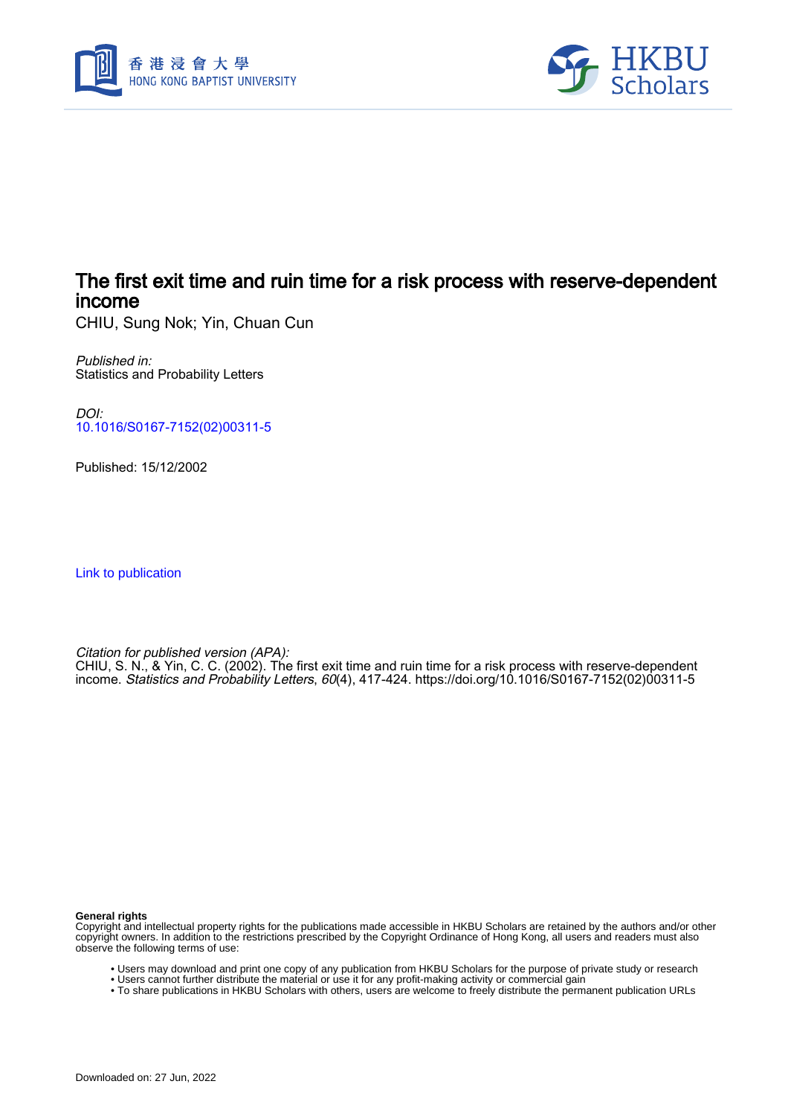



# The first exit time and ruin time for a risk process with reserve-dependent income

CHIU, Sung Nok; Yin, Chuan Cun

Published in: Statistics and Probability Letters

DOI: [10.1016/S0167-7152\(02\)00311-5](https://doi.org/10.1016/S0167-7152(02)00311-5)

Published: 15/12/2002

[Link to publication](https://scholars.hkbu.edu.hk/en/publications/3fc405df-8b1d-4526-9d72-255dae42df73)

Citation for published version (APA):

CHIU, S. N., & Yin, C. C. (2002). The first exit time and ruin time for a risk process with reserve-dependent income. Statistics and Probability Letters, 60(4), 417-424. [https://doi.org/10.1016/S0167-7152\(02\)00311-5](https://doi.org/10.1016/S0167-7152(02)00311-5)

**General rights**

Copyright and intellectual property rights for the publications made accessible in HKBU Scholars are retained by the authors and/or other copyright owners. In addition to the restrictions prescribed by the Copyright Ordinance of Hong Kong, all users and readers must also observe the following terms of use:

- Users may download and print one copy of any publication from HKBU Scholars for the purpose of private study or research
- Users cannot further distribute the material or use it for any profit-making activity or commercial gain
- To share publications in HKBU Scholars with others, users are welcome to freely distribute the permanent publication URLs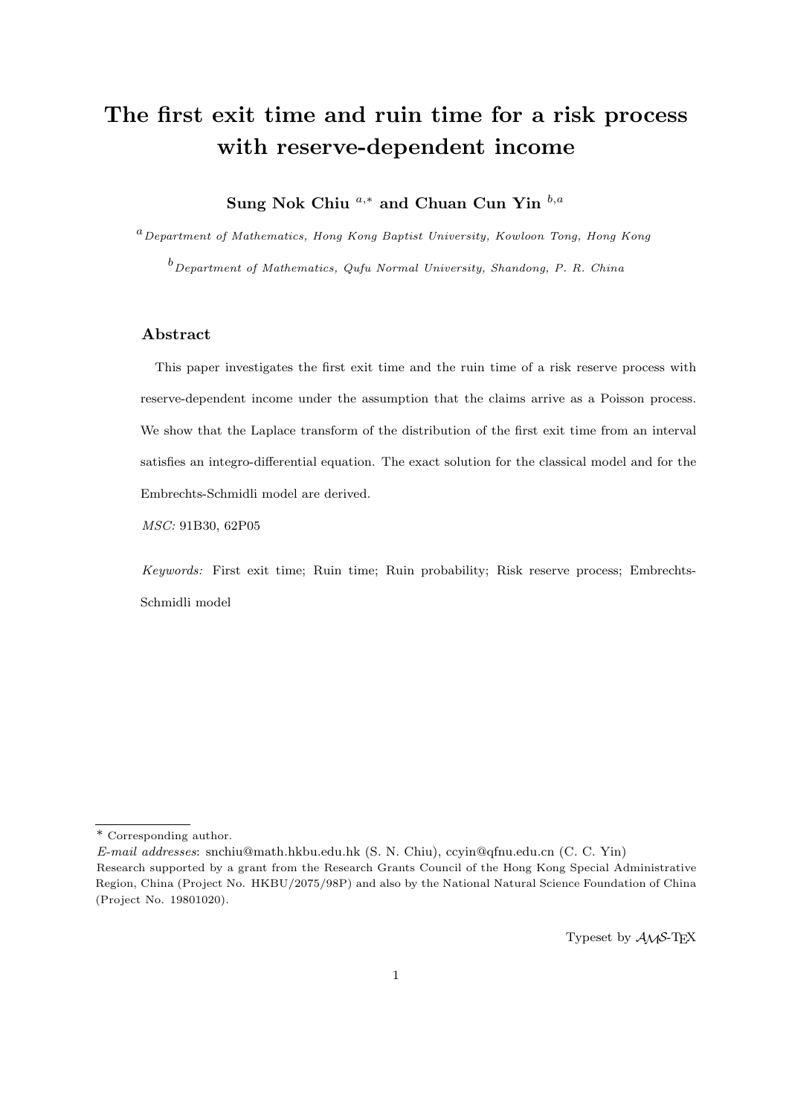# **The first exit time and ruin time for a risk process with reserve-dependent income**

**Sung Nok Chiu** *a,<sup>∗</sup>* **and Chuan Cun Yin** *b,a*

*<sup>a</sup>Department of Mathematics, Hong Kong Baptist University, Kowloon Tong, Hong Kong*

*<sup>b</sup>Department of Mathematics, Qufu Normal University, Shandong, P. R. China*

## **Abstract**

This paper investigates the first exit time and the ruin time of a risk reserve process with reserve-dependent income under the assumption that the claims arrive as a Poisson process. We show that the Laplace transform of the distribution of the first exit time from an interval satisfies an integro-differential equation. The exact solution for the classical model and for the Embrechts-Schmidli model are derived.

*MSC:* 91B30, 62P05

*Keywords:* First exit time; Ruin time; Ruin probability; Risk reserve process; Embrechts-Schmidli model

Typeset by  $A\mathcal{M}S$ -T<sub>E</sub>X

<sup>\*</sup> Corresponding author.

*E-mail addresses*: snchiu@math.hkbu.edu.hk (S. N. Chiu), ccyin@qfnu.edu.cn (C. C. Yin)

Research supported by a grant from the Research Grants Council of the Hong Kong Special Administrative Region, China (Project No. HKBU/2075/98P) and also by the National Natural Science Foundation of China (Project No. 19801020).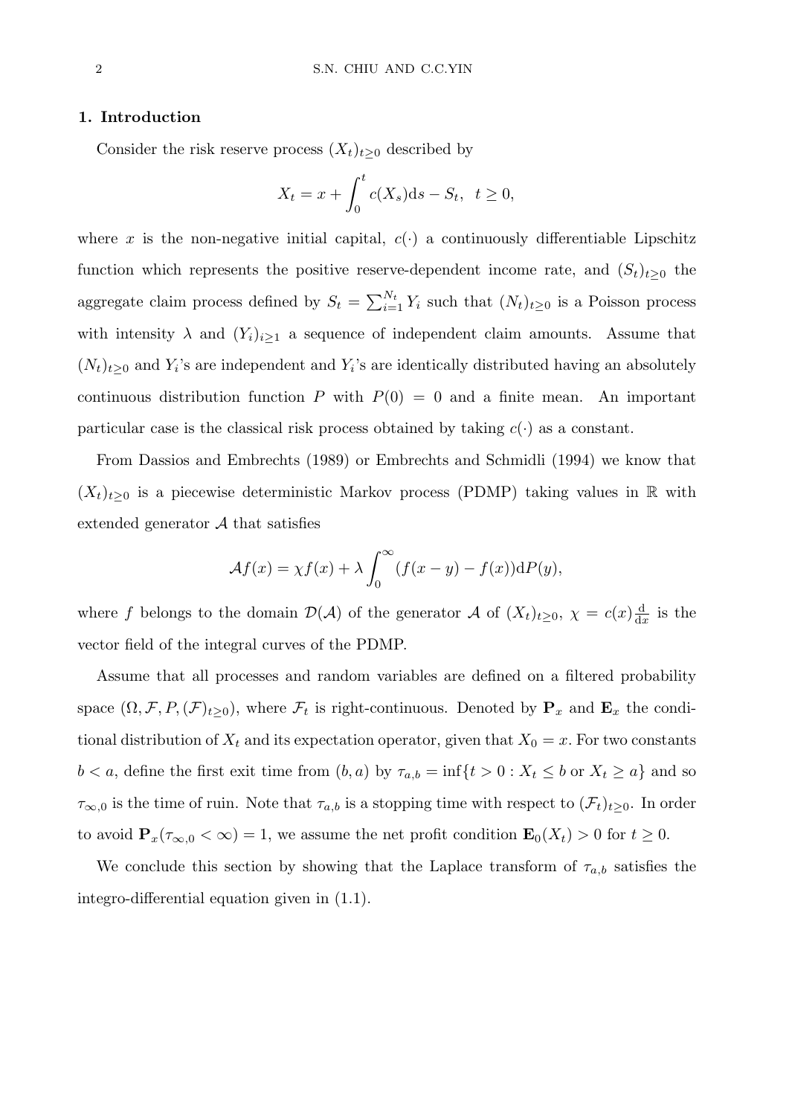#### **1. Introduction**

Consider the risk reserve process  $(X_t)_{t\geq 0}$  described by

$$
X_t = x + \int_0^t c(X_s)ds - S_t, \quad t \ge 0,
$$

where x is the non-negative initial capital,  $c(\cdot)$  a continuously differentiable Lipschitz function which represents the positive reserve-dependent income rate, and  $(S_t)_{t\geq0}$  the aggregate claim process defined by  $S_t = \sum_{i=1}^{N_t} Y_i$  such that  $(N_t)_{t \geq 0}$  is a Poisson process with intensity  $\lambda$  and  $(Y_i)_{i\geq 1}$  a sequence of independent claim amounts. Assume that  $(N_t)_{t\geq0}$  and  $Y_i$ 's are independent and  $Y_i$ 's are identically distributed having an absolutely continuous distribution function *P* with  $P(0) = 0$  and a finite mean. An important particular case is the classical risk process obtained by taking  $c(\cdot)$  as a constant.

From Dassios and Embrechts (1989) or Embrechts and Schmidli (1994) we know that  $(X_t)_{t>0}$  is a piecewise deterministic Markov process (PDMP) taking values in R with extended generator *A* that satisfies

$$
\mathcal{A}f(x) = \chi f(x) + \lambda \int_0^\infty (f(x - y) - f(x)) \mathrm{d}P(y),
$$

where *f* belongs to the domain  $\mathcal{D}(\mathcal{A})$  of the generator  $\mathcal{A}$  of  $(X_t)_{t\geq0}$ ,  $\chi=c(x)\frac{d}{dx}$  $\frac{d}{dx}$  is the vector field of the integral curves of the PDMP.

Assume that all processes and random variables are defined on a filtered probability space  $(\Omega, \mathcal{F}, P, (\mathcal{F})_{t \geq 0})$ , where  $\mathcal{F}_t$  is right-continuous. Denoted by  $\mathbf{P}_x$  and  $\mathbf{E}_x$  the conditional distribution of  $X_t$  and its expectation operator, given that  $X_0 = x$ . For two constants  $b < a$ , define the first exit time from  $(b, a)$  by  $\tau_{a,b} = \inf\{t > 0 : X_t \leq b \text{ or } X_t \geq a\}$  and so  $\tau_{\infty,0}$  is the time of ruin. Note that  $\tau_{a,b}$  is a stopping time with respect to  $(\mathcal{F}_t)_{t\geq0}$ . In order to avoid  $\mathbf{P}_x(\tau_{\infty,0} < \infty) = 1$ , we assume the net profit condition  $\mathbf{E}_0(X_t) > 0$  for  $t \geq 0$ .

We conclude this section by showing that the Laplace transform of  $\tau_{a,b}$  satisfies the integro-differential equation given in (1.1).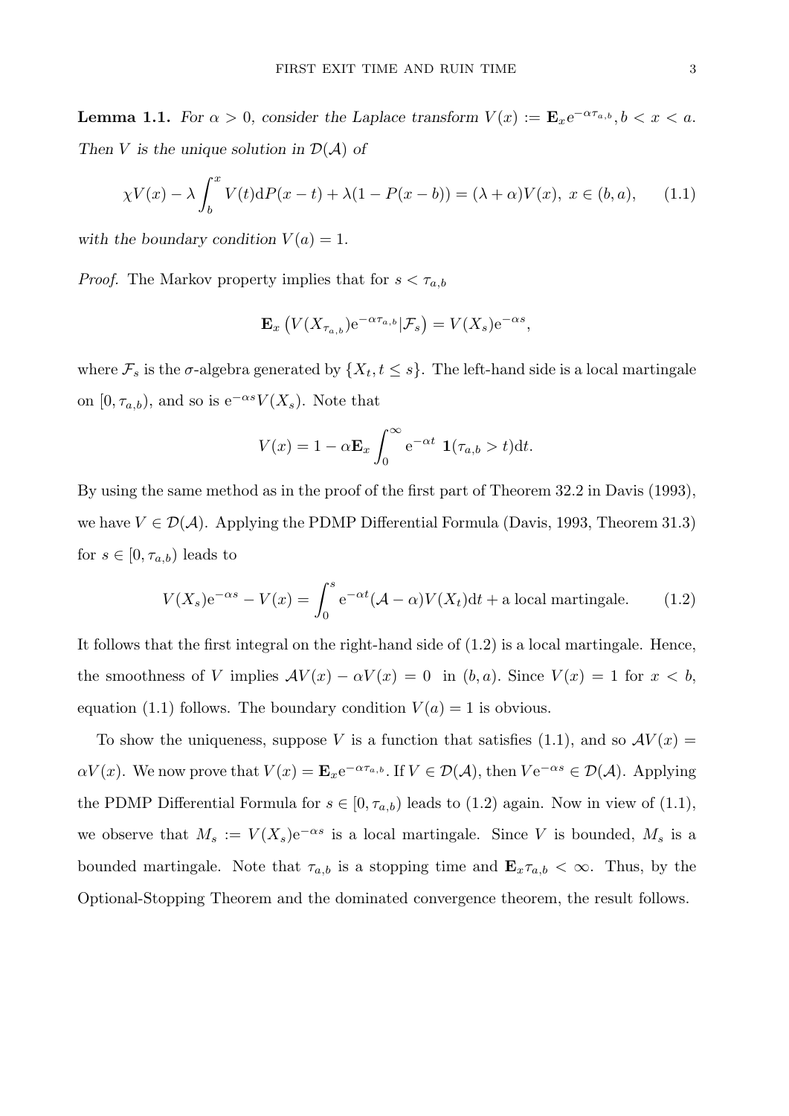**Lemma 1.1.** *For*  $\alpha > 0$ *, consider the Laplace transform*  $V(x) := \mathbf{E}_x e^{-\alpha \tau_{a,b}}$ ,  $b < x < a$ . *Then V* is the unique solution in  $\mathcal{D}(\mathcal{A})$  of

$$
\chi V(x) - \lambda \int_b^x V(t) \mathrm{d}P(x-t) + \lambda (1 - P(x-b)) = (\lambda + \alpha)V(x), \ x \in (b, a), \qquad (1.1)
$$

*with the boundary condition*  $V(a) = 1$ *.* 

*Proof.* The Markov property implies that for  $s < \tau_{a,b}$ 

$$
\mathbf{E}_x\left(V(X_{\tau_{a,b}})e^{-\alpha\tau_{a,b}}|\mathcal{F}_s\right)=V(X_s)e^{-\alpha s},
$$

where  $\mathcal{F}_s$  is the *σ*-algebra generated by  $\{X_t, t \leq s\}$ . The left-hand side is a local martingale on  $[0, \tau_{a,b})$ , and so is  $e^{-\alpha s}V(X_s)$ . Note that

$$
V(x) = 1 - \alpha \mathbf{E}_x \int_0^\infty e^{-\alpha t} \mathbf{1}(\tau_{a,b} > t) dt.
$$

By using the same method as in the proof of the first part of Theorem 32.2 in Davis (1993), we have  $V \in \mathcal{D}(\mathcal{A})$ . Applying the PDMP Differential Formula (Davis, 1993, Theorem 31.3) for  $s \in [0, \tau_{a,b})$  leads to

$$
V(X_s)e^{-\alpha s} - V(x) = \int_0^s e^{-\alpha t} (\mathcal{A} - \alpha)V(X_t)dt + \text{a local martingale.} \tag{1.2}
$$

It follows that the first integral on the right-hand side of (1.2) is a local martingale. Hence, the smoothness of *V* implies  $AV(x) - \alpha V(x) = 0$  in  $(b, a)$ *.* Since  $V(x) = 1$  for  $x < b$ , equation (1.1) follows. The boundary condition  $V(a) = 1$  is obvious.

To show the uniqueness, suppose V is a function that satisfies (1.1), and so  $AV(x)$  $\alpha V(x)$ . We now prove that  $V(x) = \mathbf{E}_x e^{-\alpha \tau_{a,b}}$ . If  $V \in \mathcal{D}(\mathcal{A})$ , then  $V e^{-\alpha s} \in \mathcal{D}(\mathcal{A})$ . Applying the PDMP Differential Formula for  $s \in [0, \tau_{a,b})$  leads to (1.2) again. Now in view of (1.1), we observe that  $M_s := V(X_s)e^{-\alpha s}$  is a local martingale. Since V is bounded,  $M_s$  is a bounded martingale. Note that  $\tau_{a,b}$  is a stopping time and  $\mathbf{E}_x \tau_{a,b} < \infty$ . Thus, by the Optional-Stopping Theorem and the dominated convergence theorem, the result follows.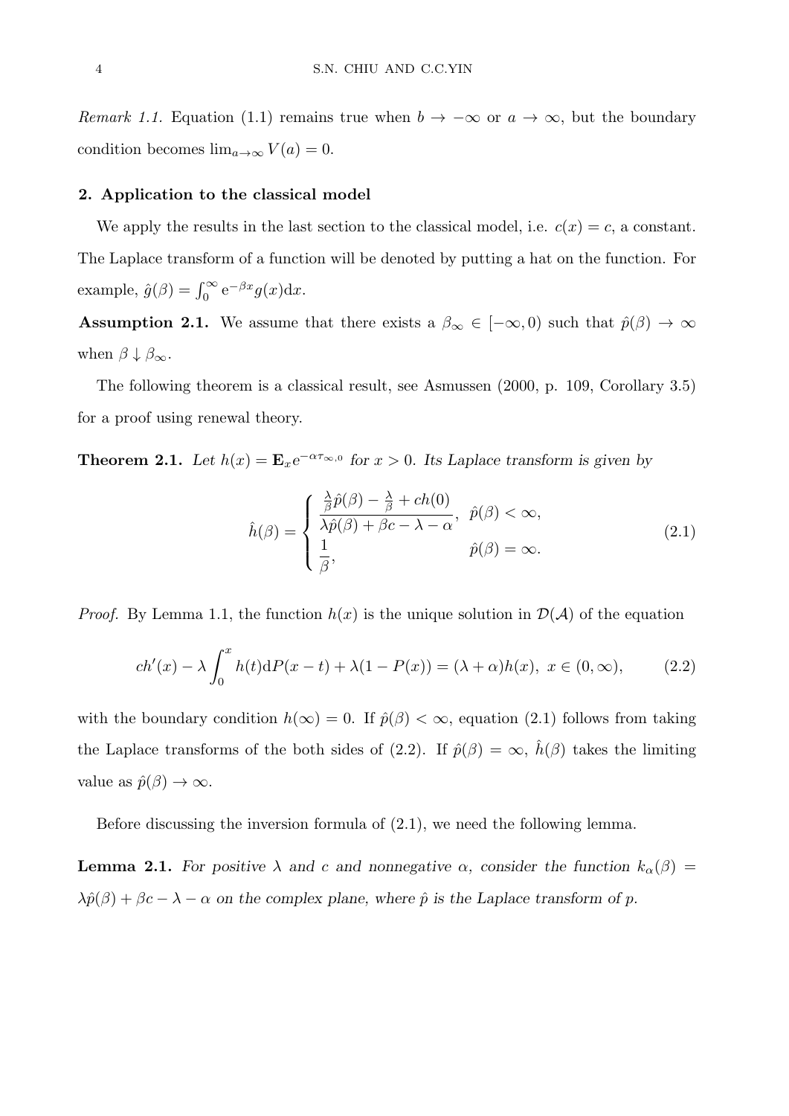*Remark 1.1.* Equation (1.1) remains true when  $b \to -\infty$  or  $a \to \infty$ , but the boundary condition becomes  $\lim_{a\to\infty} V(a) = 0$ .

## **2. Application to the classical model**

We apply the results in the last section to the classical model, i.e.  $c(x) = c$ , a constant. The Laplace transform of a function will be denoted by putting a hat on the function. For example,  $\hat{g}(\beta) = \int_0^\infty e^{-\beta x} g(x) dx$ .

**Assumption 2.1.** We assume that there exists a  $\beta_{\infty} \in [-\infty, 0)$  such that  $\hat{p}(\beta) \to \infty$ when  $\beta \downarrow \beta_{\infty}$ .

The following theorem is a classical result, see Asmussen (2000, p. 109, Corollary 3.5) for a proof using renewal theory.

**Theorem 2.1.** *Let*  $h(x) = \mathbf{E}_x e^{-\alpha \tau_{\infty,0}}$  for  $x > 0$ . Its Laplace transform is given by

$$
\hat{h}(\beta) = \begin{cases}\n\frac{\frac{\lambda}{\beta}\hat{p}(\beta) - \frac{\lambda}{\beta} + ch(0)}{\lambda\hat{p}(\beta) + \beta c - \lambda - \alpha}, & \hat{p}(\beta) < \infty, \\
\frac{1}{\beta}, & \hat{p}(\beta) = \infty.\n\end{cases}
$$
\n(2.1)

*Proof.* By Lemma 1.1, the function  $h(x)$  is the unique solution in  $\mathcal{D}(\mathcal{A})$  of the equation

$$
ch'(x) - \lambda \int_0^x h(t) dP(x-t) + \lambda(1 - P(x)) = (\lambda + \alpha)h(x), \ x \in (0, \infty), \tag{2.2}
$$

with the boundary condition  $h(\infty) = 0$ . If  $\hat{p}(\beta) < \infty$ , equation (2.1) follows from taking the Laplace transforms of the both sides of (2.2). If  $\hat{p}(\beta) = \infty$ ,  $\hat{h}(\beta)$  takes the limiting value as  $\hat{p}(\beta) \rightarrow \infty$ .

Before discussing the inversion formula of (2.1), we need the following lemma.

**Lemma 2.1.** For positive  $\lambda$  and *c* and nonnegative  $\alpha$ , consider the function  $k_{\alpha}(\beta)$  =  $\lambda \hat{p}(\beta) + \beta c - \lambda - \alpha$  on the complex plane, where  $\hat{p}$  is the Laplace transform of  $p$ .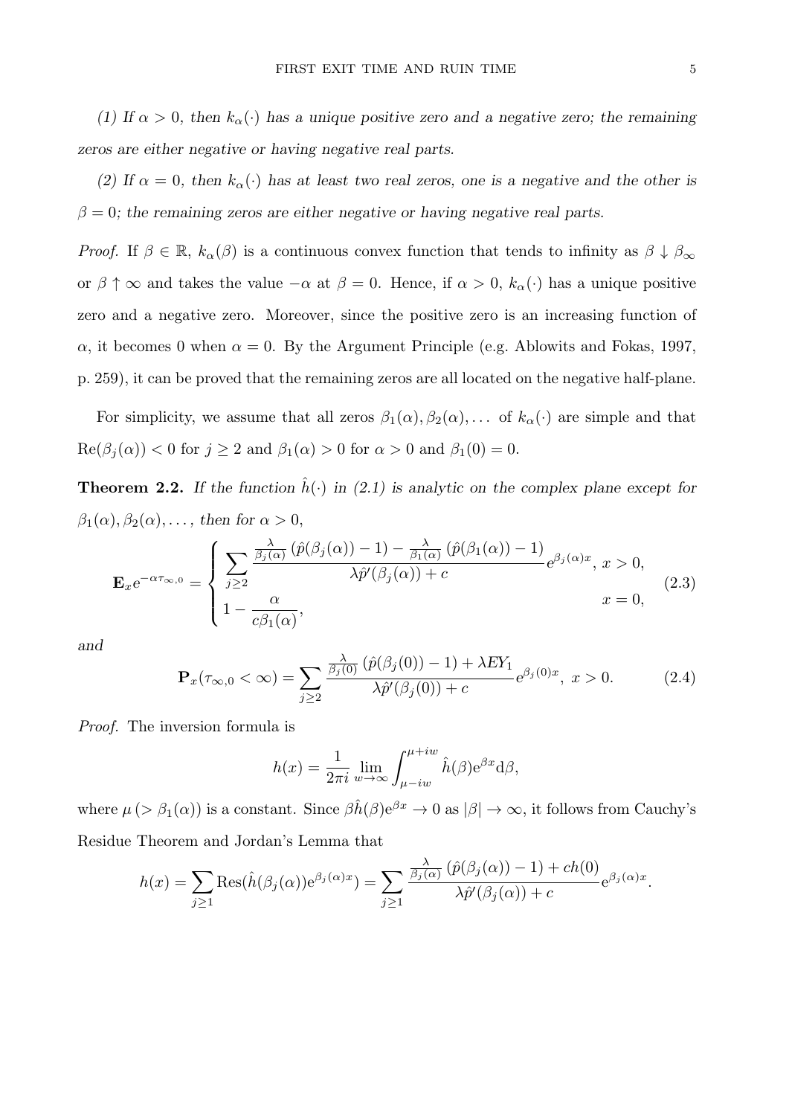(1) If  $\alpha > 0$ , then  $k_{\alpha}(\cdot)$  has a unique positive zero and a negative zero; the remaining *zeros are either negative or having negative real parts.*

*(2) If*  $\alpha = 0$ , then  $k_{\alpha}(\cdot)$  has at least two real zeros, one is a negative and the other is  $\beta = 0$ ; the remaining zeros are either negative or having negative real parts.

*Proof.* If  $\beta \in \mathbb{R}$ ,  $k_{\alpha}(\beta)$  is a continuous convex function that tends to infinity as  $\beta \downarrow \beta_{\infty}$ or  $\beta \uparrow \infty$  and takes the value  $-\alpha$  at  $\beta = 0$ . Hence, if  $\alpha > 0$ ,  $k_{\alpha}(\cdot)$  has a unique positive zero and a negative zero. Moreover, since the positive zero is an increasing function of *α*, it becomes 0 when  $\alpha = 0$ . By the Argument Principle (e.g. Ablowits and Fokas, 1997, p. 259), it can be proved that the remaining zeros are all located on the negative half-plane.

For simplicity, we assume that all zeros  $\beta_1(\alpha), \beta_2(\alpha), \ldots$  of  $k_\alpha(\cdot)$  are simple and that  $\text{Re}(\beta_j(\alpha)) < 0$  for  $j \ge 2$  and  $\beta_1(\alpha) > 0$  for  $\alpha > 0$  and  $\beta_1(0) = 0$ .

**Theorem 2.2.** If the function  $\hat{h}(\cdot)$  in (2.1) is analytic on the complex plane except for  $\beta_1(\alpha), \beta_2(\alpha), \ldots$ , then for  $\alpha > 0$ ,

$$
\mathbf{E}_{x}e^{-\alpha\tau_{\infty,0}} = \begin{cases} \sum_{j\geq 2} \frac{\frac{\lambda}{\beta_{j}(\alpha)}\left(\hat{p}(\beta_{j}(\alpha))-1\right)-\frac{\lambda}{\beta_{1}(\alpha)}\left(\hat{p}(\beta_{1}(\alpha))-1\right)}{\lambda\hat{p}'(\beta_{j}(\alpha))+c}e^{\beta_{j}(\alpha)x}, x > 0, \\ 1-\frac{\alpha}{c\beta_{1}(\alpha)}, \end{cases}
$$
(2.3)

*and*

$$
\mathbf{P}_x(\tau_{\infty,0} < \infty) = \sum_{j \ge 2} \frac{\frac{\lambda}{\beta_j(0)} \left( \hat{p}(\beta_j(0)) - 1 \right) + \lambda E Y_1}{\lambda \hat{p}'(\beta_j(0)) + c} e^{\beta_j(0)x}, \ x > 0. \tag{2.4}
$$

*Proof.* The inversion formula is

$$
h(x) = \frac{1}{2\pi i} \lim_{w \to \infty} \int_{\mu - iw}^{\mu + iw} \hat{h}(\beta) e^{\beta x} d\beta,
$$

where  $\mu$  ( $>\beta_1(\alpha)$ ) is a constant. Since  $\beta \hat{h}(\beta) e^{\beta x} \to 0$  as  $|\beta| \to \infty$ , it follows from Cauchy's Residue Theorem and Jordan's Lemma that

$$
h(x) = \sum_{j\geq 1} \text{Res}(\hat{h}(\beta_j(\alpha))e^{\beta_j(\alpha)x}) = \sum_{j\geq 1} \frac{\frac{\lambda}{\beta_j(\alpha)}(\hat{p}(\beta_j(\alpha))-1) + ch(0)}{\lambda \hat{p}'(\beta_j(\alpha))+c} e^{\beta_j(\alpha)x}.
$$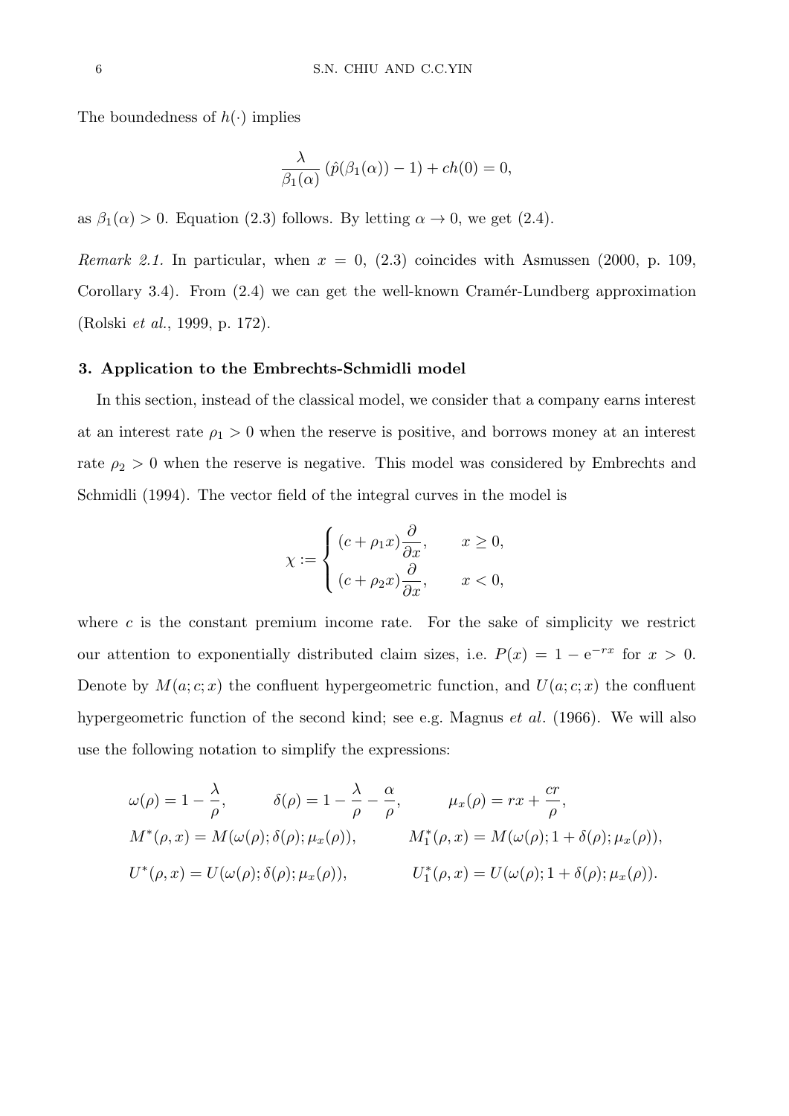The boundedness of  $h(\cdot)$  implies

$$
\frac{\lambda}{\beta_1(\alpha)}\left(\hat{p}(\beta_1(\alpha))-1\right)+ch(0)=0,
$$

as  $\beta_1(\alpha) > 0$ . Equation (2.3) follows. By letting  $\alpha \to 0$ , we get (2.4).

*Remark 2.1.* In particular, when *x* = 0, (2.3) coincides with Asmussen (2000, p. 109, Corollary 3.4). From  $(2.4)$  we can get the well-known Cramér-Lundberg approximation (Rolski *et al.*, 1999, p. 172).

#### **3. Application to the Embrechts-Schmidli model**

In this section, instead of the classical model, we consider that a company earns interest at an interest rate  $\rho_1 > 0$  when the reserve is positive, and borrows money at an interest rate  $\rho_2 > 0$  when the reserve is negative. This model was considered by Embrechts and Schmidli (1994). The vector field of the integral curves in the model is

$$
\chi := \begin{cases} (c+\rho_1x)\frac{\partial}{\partial x}, & x \ge 0, \\ (c+\rho_2x)\frac{\partial}{\partial x}, & x < 0, \end{cases}
$$

where  $c$  is the constant premium income rate. For the sake of simplicity we restrict our attention to exponentially distributed claim sizes, i.e.  $P(x) = 1 - e^{-rx}$  for  $x > 0$ . Denote by  $M(a; c; x)$  the confluent hypergeometric function, and  $U(a; c; x)$  the confluent hypergeometric function of the second kind; see e.g. Magnus *et al.* (1966). We will also use the following notation to simplify the expressions:

$$
\omega(\rho) = 1 - \frac{\lambda}{\rho}, \qquad \delta(\rho) = 1 - \frac{\lambda}{\rho} - \frac{\alpha}{\rho}, \qquad \mu_x(\rho) = rx + \frac{cr}{\rho},
$$
  

$$
M^*(\rho, x) = M(\omega(\rho); \delta(\rho); \mu_x(\rho)), \qquad M^*(\rho, x) = M(\omega(\rho); 1 + \delta(\rho); \mu_x(\rho)),
$$
  

$$
U^*(\rho, x) = U(\omega(\rho); \delta(\rho); \mu_x(\rho)), \qquad U^*_1(\rho, x) = U(\omega(\rho); 1 + \delta(\rho); \mu_x(\rho)).
$$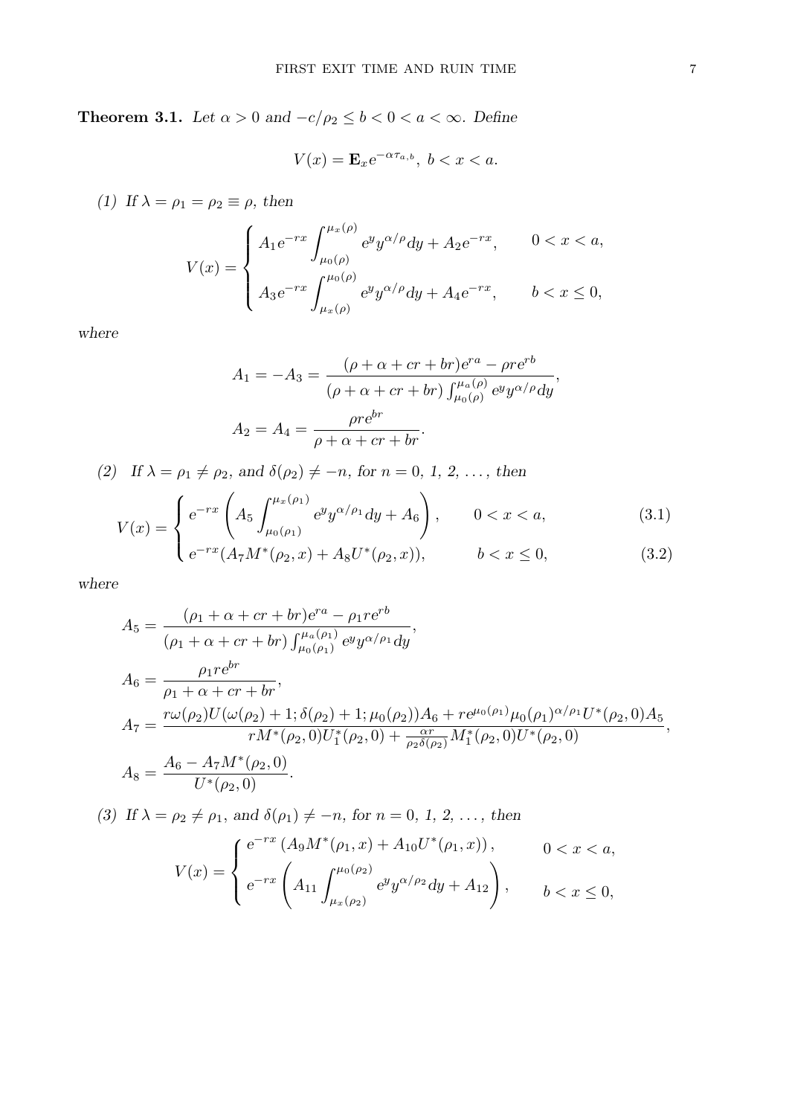**Theorem 3.1.** *Let*  $\alpha > 0$  *and*  $-c/\rho_2 \le b < 0 < a < \infty$ *. Define* 

 $V(x) = \mathbf{E}_x e^{-\alpha \tau_{a,b}}, \ b < x < a.$ 

*(1)* If  $\lambda = \rho_1 = \rho_2 \equiv \rho$ , then

$$
V(x) = \begin{cases} A_1 e^{-rx} \int_{\mu_0(\rho)}^{\mu_x(\rho)} e^y y^{\alpha/\rho} dy + A_2 e^{-rx}, & 0 < x < a, \\ A_3 e^{-rx} \int_{\mu_x(\rho)}^{\mu_0(\rho)} e^y y^{\alpha/\rho} dy + A_4 e^{-rx}, & b < x \le 0, \end{cases}
$$

*where*

$$
A_1 = -A_3 = \frac{(\rho + \alpha + cr + br)e^{ra} - \rho r e^{rb}}{(\rho + \alpha + cr + br) \int_{\mu_0(\rho)}^{\mu_a(\rho)} e^{y} y^{\alpha/\rho} dy},
$$

$$
A_2 = A_4 = \frac{\rho r e^{br}}{\rho + \alpha + cr + br}.
$$

 $(2)$  *If*  $\lambda = \rho_1 \neq \rho_2$ *, and*  $\delta(\rho_2) \neq -n$ *, for*  $n = 0, 1, 2, \ldots$ *, then* 

$$
V(x) = \begin{cases} e^{-rx} \left( A_5 \int_{\mu_0(\rho_1)}^{\mu_x(\rho_1)} e^y y^{\alpha/\rho_1} dy + A_6 \right), & 0 < x < a, \\ e^{-rx} (A_7 M^*(\rho_2, x) + A_8 U^*(\rho_2, x)) & b < x < 0 \end{cases}
$$
(3.1)

$$
\left(e^{-rx}(A_7M^*(\rho_2, x) + A_8U^*(\rho_2, x)),\right) \qquad b < x \le 0,\tag{3.2}
$$

*where*

$$
A_5 = \frac{(\rho_1 + \alpha + cr + br)e^{ra} - \rho_1 r e^{rb}}{(\rho_1 + \alpha + cr + br) \int_{\mu_0(\rho_1)}^{\mu_a(\rho_1)} e^{y} y^{\alpha/\rho_1} dy},
$$
  
\n
$$
A_6 = \frac{\rho_1 r e^{br}}{\rho_1 + \alpha + cr + br},
$$
  
\n
$$
A_7 = \frac{r\omega(\rho_2)U(\omega(\rho_2) + 1; \delta(\rho_2) + 1; \mu_0(\rho_2))A_6 + r e^{\mu_0(\rho_1)} \mu_0(\rho_1)^{\alpha/\rho_1} U^*(\rho_2, 0)A_5}{r M^*(\rho_2, 0)U_1^*(\rho_2, 0) + \frac{\alpha r}{\rho_2 \delta(\rho_2)} M_1^*(\rho_2, 0)U^*(\rho_2, 0)}
$$
  
\n
$$
A_8 = \frac{A_6 - A_7 M^*(\rho_2, 0)}{U^*(\rho_2, 0)}.
$$

*(3)* If  $\lambda = \rho_2 \neq \rho_1$ , and  $\delta(\rho_1) \neq -n$ , for  $n = 0, 1, 2, \ldots$ , then

$$
V(x) = \begin{cases} e^{-rx} (A_9 M^*(\rho_1, x) + A_{10} U^*(\rho_1, x)), & 0 < x < a, \\ e^{-rx} \left( A_{11} \int_{\mu_x(\rho_2)}^{\mu_0(\rho_2)} e^y y^{\alpha/\rho_2} dy + A_{12} \right), & b < x \le 0, \end{cases}
$$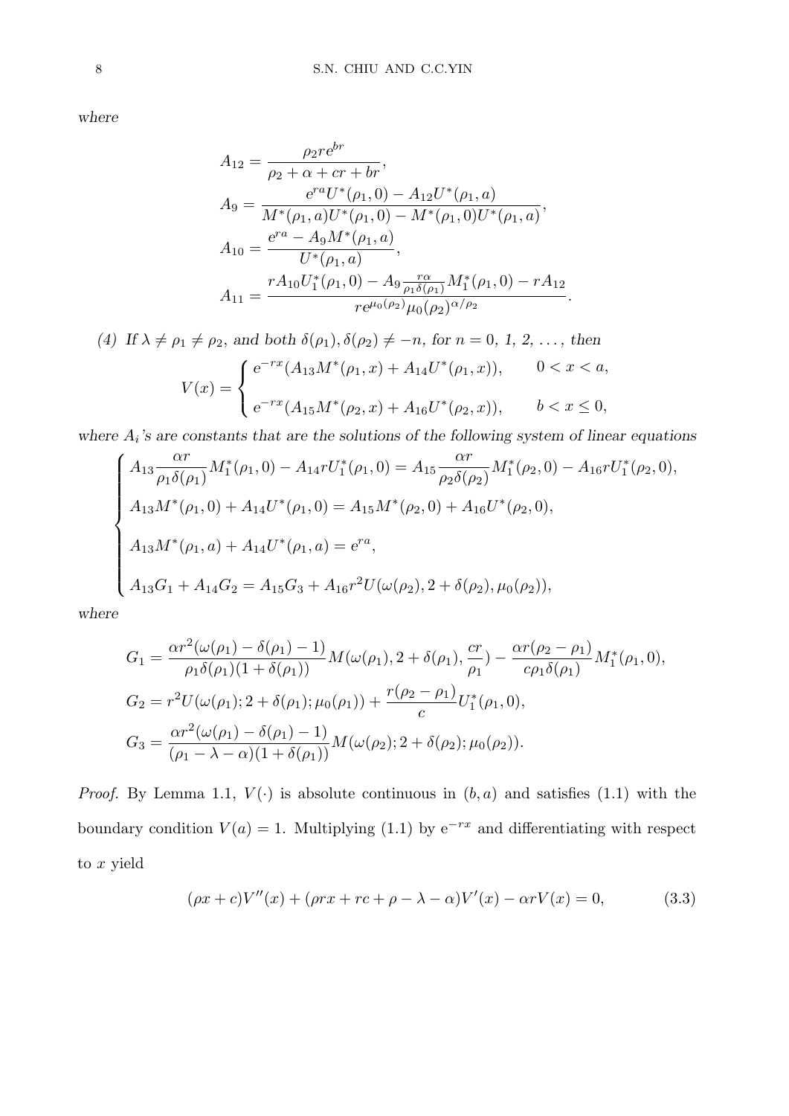*where*

$$
A_{12} = \frac{\rho_2 r e^{br}}{\rho_2 + \alpha + cr + br},
$$
  
\n
$$
A_9 = \frac{e^{ra} U^*(\rho_1, 0) - A_{12} U^*(\rho_1, a)}{M^*(\rho_1, a) U^*(\rho_1, 0) - M^*(\rho_1, 0) U^*(\rho_1, a)},
$$
  
\n
$$
A_{10} = \frac{e^{ra} - A_9 M^*(\rho_1, a)}{U^*(\rho_1, a)},
$$
  
\n
$$
A_{11} = \frac{r A_{10} U_1^*(\rho_1, 0) - A_9 \frac{r \alpha}{\rho_1 \delta(\rho_1)} M_1^*(\rho_1, 0) - r A_{12}}{r e^{\mu_0(\rho_2)} \mu_0(\rho_2)^{\alpha/\rho_2}}.
$$

(4) If 
$$
\lambda \neq \rho_1 \neq \rho_2
$$
, and both  $\delta(\rho_1), \delta(\rho_2) \neq -n$ , for  $n = 0, 1, 2, ...$ , then  
\n
$$
V(x) = \begin{cases} e^{-rx}(A_{13}M^*(\rho_1, x) + A_{14}U^*(\rho_1, x)), & 0 < x < a, \\ e^{-rx}(A_{15}M^*(\rho_2, x) + A_{16}U^*(\rho_2, x)), & b < x \le 0, \end{cases}
$$

*where A<sup>i</sup> 's are constants that are the solutions of the following system of linear equations*

$$
\begin{cases}\nA_{13} \frac{\alpha r}{\rho_1 \delta(\rho_1)} M_1^*(\rho_1, 0) - A_{14} r U_1^*(\rho_1, 0) = A_{15} \frac{\alpha r}{\rho_2 \delta(\rho_2)} M_1^*(\rho_2, 0) - A_{16} r U_1^*(\rho_2, 0), \\
A_{13} M^*(\rho_1, 0) + A_{14} U^*(\rho_1, 0) = A_{15} M^*(\rho_2, 0) + A_{16} U^*(\rho_2, 0), \\
A_{13} M^*(\rho_1, a) + A_{14} U^*(\rho_1, a) = e^{ra}, \\
A_{13} G_1 + A_{14} G_2 = A_{15} G_3 + A_{16} r^2 U(\omega(\rho_2), 2 + \delta(\rho_2), \mu_0(\rho_2)),\n\end{cases}
$$

*where*

$$
G_1 = \frac{\alpha r^2(\omega(\rho_1) - \delta(\rho_1) - 1)}{\rho_1 \delta(\rho_1)(1 + \delta(\rho_1))} M(\omega(\rho_1), 2 + \delta(\rho_1), \frac{cr}{\rho_1}) - \frac{\alpha r(\rho_2 - \rho_1)}{c\rho_1 \delta(\rho_1)} M_1^*(\rho_1, 0),
$$
  
\n
$$
G_2 = r^2 U(\omega(\rho_1); 2 + \delta(\rho_1); \mu_0(\rho_1)) + \frac{r(\rho_2 - \rho_1)}{c} U_1^*(\rho_1, 0),
$$
  
\n
$$
G_3 = \frac{\alpha r^2(\omega(\rho_1) - \delta(\rho_1) - 1)}{(\rho_1 - \lambda - \alpha)(1 + \delta(\rho_1))} M(\omega(\rho_2); 2 + \delta(\rho_2); \mu_0(\rho_2)).
$$

*Proof.* By Lemma 1.1,  $V(\cdot)$  is absolute continuous in  $(b, a)$  and satisfies (1.1) with the boundary condition  $V(a) = 1$ . Multiplying (1.1) by  $e^{-rx}$  and differentiating with respect to *x* yield

$$
(\rho x + c)V''(x) + (\rho rx + rc + \rho - \lambda - \alpha)V'(x) - \alpha rV(x) = 0,
$$
\n(3.3)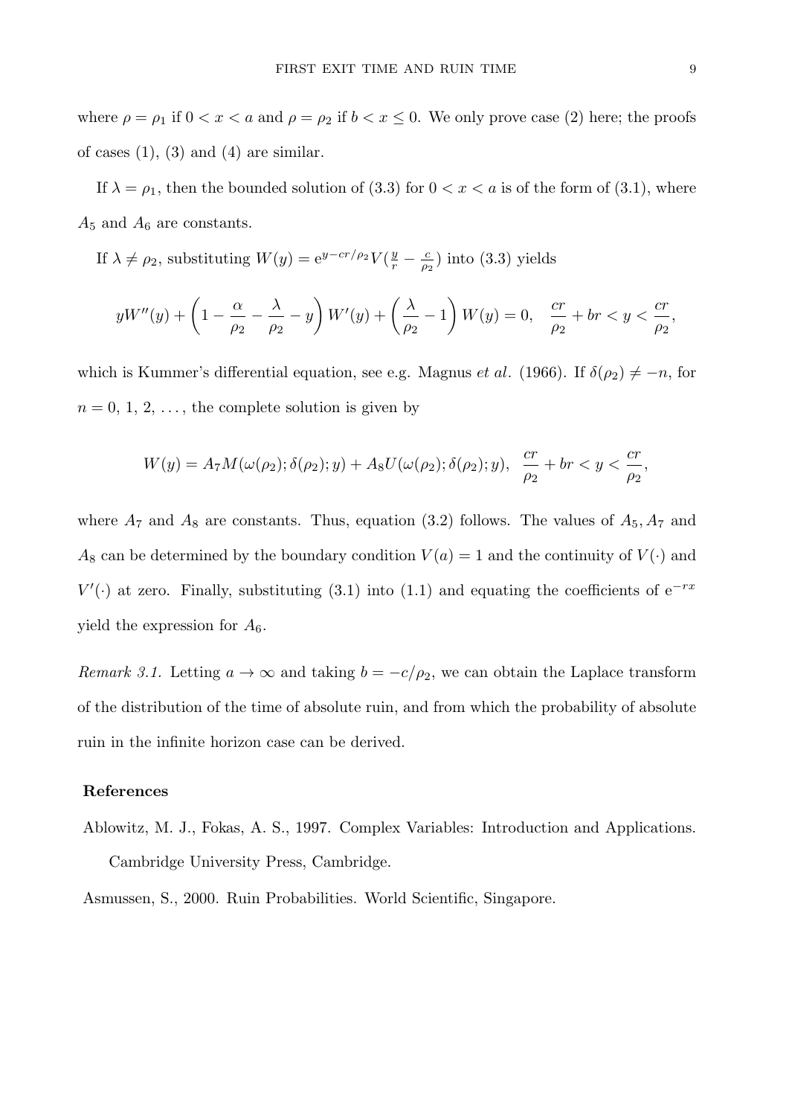where  $\rho = \rho_1$  if  $0 < x < a$  and  $\rho = \rho_2$  if  $b < x \le 0$ . We only prove case (2) here; the proofs of cases  $(1)$ ,  $(3)$  and  $(4)$  are similar.

If  $\lambda = \rho_1$ , then the bounded solution of (3.3) for  $0 < x < a$  is of the form of (3.1), where  $A_5$  and  $A_6$  are constants.

If  $\lambda \neq \rho_2$ , substituting  $W(y) = e^{y - cr/\rho_2} V(\frac{y}{r})$  $\frac{y}{r} - \frac{c}{\rho_2}$  $\frac{c}{\rho_2}$ ) into (3.3) yields

$$
yW''(y) + \left(1 - \frac{\alpha}{\rho_2} - \frac{\lambda}{\rho_2} - y\right)W'(y) + \left(\frac{\lambda}{\rho_2} - 1\right)W(y) = 0, \quad \frac{cr}{\rho_2} + br < y < \frac{cr}{\rho_2},
$$

which is Kummer's differential equation, see e.g. Magnus *et al.* (1966). If  $\delta(\rho_2) \neq -n$ , for  $n = 0, 1, 2, \ldots$ , the complete solution is given by

$$
W(y)=A_7M(\omega(\rho_2);\delta(\rho_2);y)+A_8U(\omega(\rho_2);\delta(\rho_2);y),\ \ \frac{cr}{\rho_2}+br
$$

where  $A_7$  and  $A_8$  are constants. Thus, equation (3.2) follows. The values of  $A_5$ ,  $A_7$  and  $A_8$  can be determined by the boundary condition  $V(a) = 1$  and the continuity of  $V(\cdot)$  and  $V'$ ( $\cdot$ ) at zero. Finally, substituting (3.1) into (1.1) and equating the coefficients of e<sup>*−rx*</sup> yield the expression for  $A_6$ .

*Remark 3.1.* Letting  $a \to \infty$  and taking  $b = -c/\rho_2$ , we can obtain the Laplace transform of the distribution of the time of absolute ruin, and from which the probability of absolute ruin in the infinite horizon case can be derived.

#### **References**

Ablowitz, M. J., Fokas, A. S., 1997. Complex Variables: Introduction and Applications. Cambridge University Press, Cambridge.

Asmussen, S., 2000. Ruin Probabilities. World Scientific, Singapore.